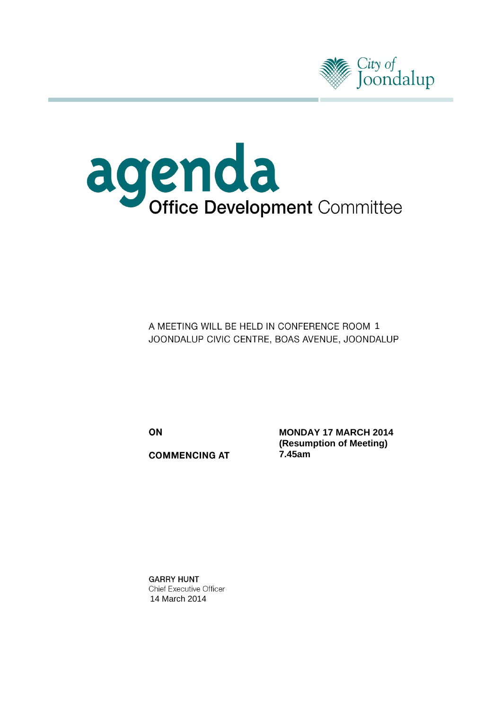



A MEETING WILL BE HELD IN CONFERENCE ROOM 1 JOONDALUP CIVIC CENTRE, BOAS AVENUE, JOONDALUP

ON

**COMMENCING AT** 

**MONDAY 17 MARCH 2014 (Resumption of Meeting) 7.45am**

**GARRY HUNT** Chief Executive Officer 14 March 2014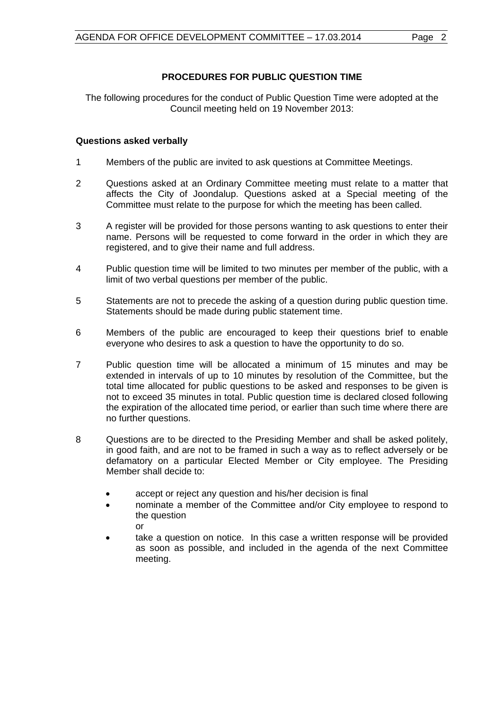# **PROCEDURES FOR PUBLIC QUESTION TIME**

The following procedures for the conduct of Public Question Time were adopted at the Council meeting held on 19 November 2013:

# **Questions asked verbally**

- 1 Members of the public are invited to ask questions at Committee Meetings.
- 2 Questions asked at an Ordinary Committee meeting must relate to a matter that affects the City of Joondalup. Questions asked at a Special meeting of the Committee must relate to the purpose for which the meeting has been called.
- 3 A register will be provided for those persons wanting to ask questions to enter their name. Persons will be requested to come forward in the order in which they are registered, and to give their name and full address.
- 4 Public question time will be limited to two minutes per member of the public, with a limit of two verbal questions per member of the public.
- 5 Statements are not to precede the asking of a question during public question time. Statements should be made during public statement time.
- 6 Members of the public are encouraged to keep their questions brief to enable everyone who desires to ask a question to have the opportunity to do so.
- 7 Public question time will be allocated a minimum of 15 minutes and may be extended in intervals of up to 10 minutes by resolution of the Committee, but the total time allocated for public questions to be asked and responses to be given is not to exceed 35 minutes in total. Public question time is declared closed following the expiration of the allocated time period, or earlier than such time where there are no further questions.
- 8 Questions are to be directed to the Presiding Member and shall be asked politely, in good faith, and are not to be framed in such a way as to reflect adversely or be defamatory on a particular Elected Member or City employee. The Presiding Member shall decide to:
	- accept or reject any question and his/her decision is final
	- nominate a member of the Committee and/or City employee to respond to the question or
	- take a question on notice. In this case a written response will be provided as soon as possible, and included in the agenda of the next Committee meeting.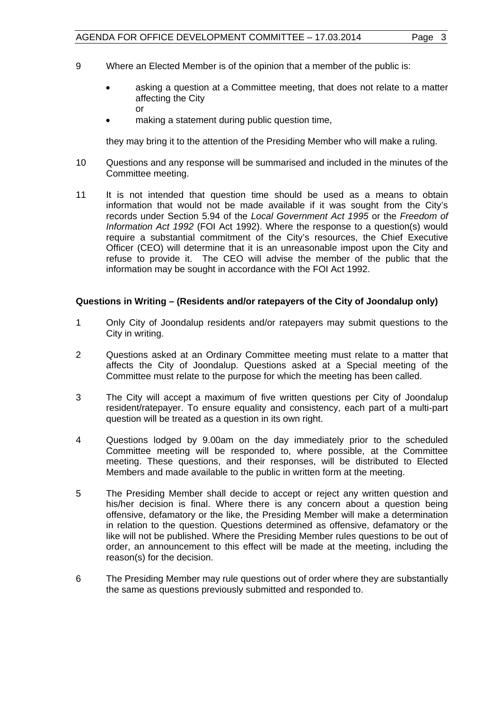- 9 Where an Elected Member is of the opinion that a member of the public is:
	- asking a question at a Committee meeting, that does not relate to a matter affecting the City or
	- making a statement during public question time,

they may bring it to the attention of the Presiding Member who will make a ruling.

- 10 Questions and any response will be summarised and included in the minutes of the Committee meeting.
- 11 It is not intended that question time should be used as a means to obtain information that would not be made available if it was sought from the City's records under Section 5.94 of the *Local Government Act 1995* or the *Freedom of Information Act 1992* (FOI Act 1992). Where the response to a question(s) would require a substantial commitment of the City's resources, the Chief Executive Officer (CEO) will determine that it is an unreasonable impost upon the City and refuse to provide it. The CEO will advise the member of the public that the information may be sought in accordance with the FOI Act 1992.

#### **Questions in Writing – (Residents and/or ratepayers of the City of Joondalup only)**

- 1 Only City of Joondalup residents and/or ratepayers may submit questions to the City in writing.
- 2 Questions asked at an Ordinary Committee meeting must relate to a matter that affects the City of Joondalup. Questions asked at a Special meeting of the Committee must relate to the purpose for which the meeting has been called.
- 3 The City will accept a maximum of five written questions per City of Joondalup resident/ratepayer. To ensure equality and consistency, each part of a multi-part question will be treated as a question in its own right.
- 4 Questions lodged by 9.00am on the day immediately prior to the scheduled Committee meeting will be responded to, where possible, at the Committee meeting. These questions, and their responses, will be distributed to Elected Members and made available to the public in written form at the meeting.
- 5 The Presiding Member shall decide to accept or reject any written question and his/her decision is final. Where there is any concern about a question being offensive, defamatory or the like, the Presiding Member will make a determination in relation to the question. Questions determined as offensive, defamatory or the like will not be published. Where the Presiding Member rules questions to be out of order, an announcement to this effect will be made at the meeting, including the reason(s) for the decision.
- 6 The Presiding Member may rule questions out of order where they are substantially the same as questions previously submitted and responded to.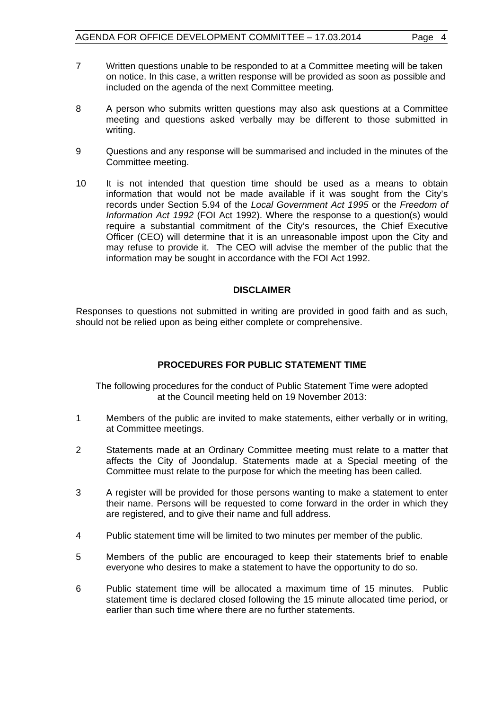- 7 Written questions unable to be responded to at a Committee meeting will be taken on notice. In this case, a written response will be provided as soon as possible and included on the agenda of the next Committee meeting.
- 8 A person who submits written questions may also ask questions at a Committee meeting and questions asked verbally may be different to those submitted in writing.
- 9 Questions and any response will be summarised and included in the minutes of the Committee meeting.
- 10 It is not intended that question time should be used as a means to obtain information that would not be made available if it was sought from the City's records under Section 5.94 of the *Local Government Act 1995* or the *Freedom of Information Act 1992* (FOI Act 1992). Where the response to a question(s) would require a substantial commitment of the City's resources, the Chief Executive Officer (CEO) will determine that it is an unreasonable impost upon the City and may refuse to provide it. The CEO will advise the member of the public that the information may be sought in accordance with the FOI Act 1992.

#### **DISCLAIMER**

Responses to questions not submitted in writing are provided in good faith and as such, should not be relied upon as being either complete or comprehensive.

# **PROCEDURES FOR PUBLIC STATEMENT TIME**

The following procedures for the conduct of Public Statement Time were adopted at the Council meeting held on 19 November 2013:

- 1 Members of the public are invited to make statements, either verbally or in writing, at Committee meetings.
- 2 Statements made at an Ordinary Committee meeting must relate to a matter that affects the City of Joondalup. Statements made at a Special meeting of the Committee must relate to the purpose for which the meeting has been called.
- 3 A register will be provided for those persons wanting to make a statement to enter their name. Persons will be requested to come forward in the order in which they are registered, and to give their name and full address.
- 4 Public statement time will be limited to two minutes per member of the public.
- 5 Members of the public are encouraged to keep their statements brief to enable everyone who desires to make a statement to have the opportunity to do so.
- 6 Public statement time will be allocated a maximum time of 15 minutes. Public statement time is declared closed following the 15 minute allocated time period, or earlier than such time where there are no further statements.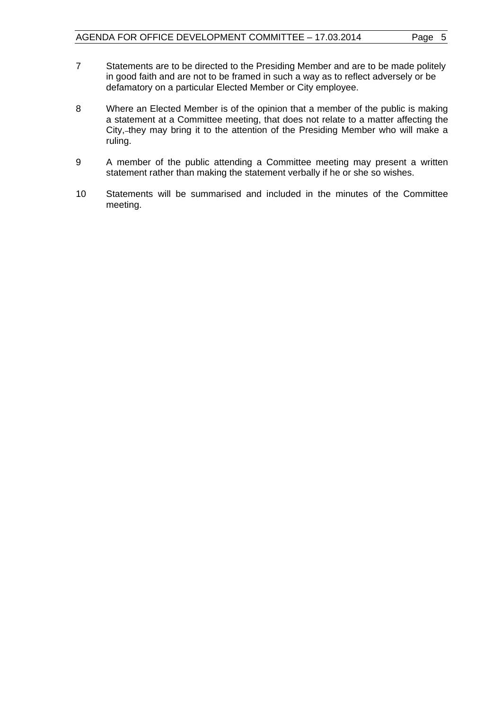- 7 Statements are to be directed to the Presiding Member and are to be made politely in good faith and are not to be framed in such a way as to reflect adversely or be defamatory on a particular Elected Member or City employee.
- 8 Where an Elected Member is of the opinion that a member of the public is making a statement at a Committee meeting, that does not relate to a matter affecting the City, they may bring it to the attention of the Presiding Member who will make a ruling.
- 9 A member of the public attending a Committee meeting may present a written statement rather than making the statement verbally if he or she so wishes.
- 10 Statements will be summarised and included in the minutes of the Committee meeting.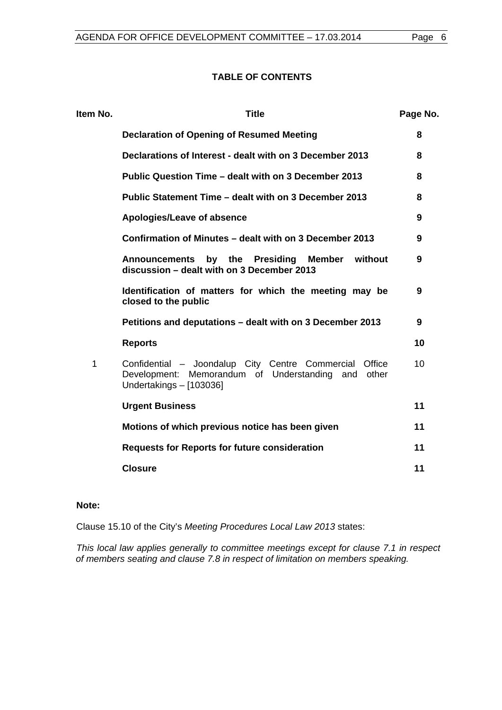#### **TABLE OF CONTENTS**

| Item No.    | <b>Title</b>                                                                                                                                     | Page No. |
|-------------|--------------------------------------------------------------------------------------------------------------------------------------------------|----------|
|             | <b>Declaration of Opening of Resumed Meeting</b>                                                                                                 | 8        |
|             | Declarations of Interest - dealt with on 3 December 2013                                                                                         | 8        |
|             | Public Question Time - dealt with on 3 December 2013                                                                                             | 8        |
|             | Public Statement Time – dealt with on 3 December 2013                                                                                            | 8        |
|             | Apologies/Leave of absence                                                                                                                       | 9        |
|             | Confirmation of Minutes – dealt with on 3 December 2013                                                                                          | 9        |
|             | by the Presiding<br>Member without<br><b>Announcements</b><br>discussion - dealt with on 3 December 2013                                         | 9        |
|             | Identification of matters for which the meeting may be<br>closed to the public                                                                   | 9        |
|             | Petitions and deputations – dealt with on 3 December 2013                                                                                        | 9        |
|             | <b>Reports</b>                                                                                                                                   | 10       |
| $\mathbf 1$ | Confidential - Joondalup City Centre Commercial<br>Office<br>Development: Memorandum of Understanding<br>other<br>and<br>Undertakings - [103036] | 10       |
|             | <b>Urgent Business</b>                                                                                                                           | 11       |
|             | Motions of which previous notice has been given                                                                                                  | 11       |
|             | <b>Requests for Reports for future consideration</b>                                                                                             | 11       |
|             | <b>Closure</b>                                                                                                                                   | 11       |
|             |                                                                                                                                                  |          |

# **Note:**

Clause 15.10 of the City's *Meeting Procedures Local Law 2013* states:

*This local law applies generally to committee meetings except for clause 7.1 in respect of members seating and clause 7.8 in respect of limitation on members speaking.*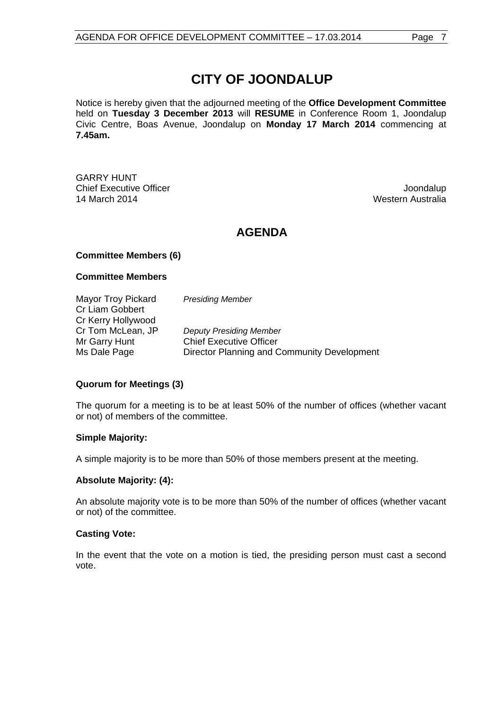# **CITY OF JOONDALUP**

Notice is hereby given that the adjourned meeting of the **Office Development Committee** held on **Tuesday 3 December 2013** will **RESUME** in Conference Room 1, Joondalup Civic Centre, Boas Avenue, Joondalup on **Monday 17 March 2014** commencing at **7.45am.**

GARRY HUNT **Chief Executive Officer Joseph According to the Chief Executive Officer Joseph According to the Chief According to the Chief According to the Chief According to the Chief According to the Chief According to the Chief Acco** 14 March 2014 Western Australia

# **AGENDA**

# **Committee Members (6)**

# **Committee Members**

Mayor Troy Pickard *Presiding Member* Cr Liam Gobbert Cr Kerry Hollywood Cr Tom McLean, JP *Deputy Presiding Member* Mr Garry Hunt Chief Executive Officer Ms Dale Page **Director Planning and Community Development** 

# **Quorum for Meetings (3)**

The quorum for a meeting is to be at least 50% of the number of offices (whether vacant or not) of members of the committee.

# **Simple Majority:**

A simple majority is to be more than 50% of those members present at the meeting.

# **Absolute Majority: (4):**

An absolute majority vote is to be more than 50% of the number of offices (whether vacant or not) of the committee.

# **Casting Vote:**

In the event that the vote on a motion is tied, the presiding person must cast a second vote.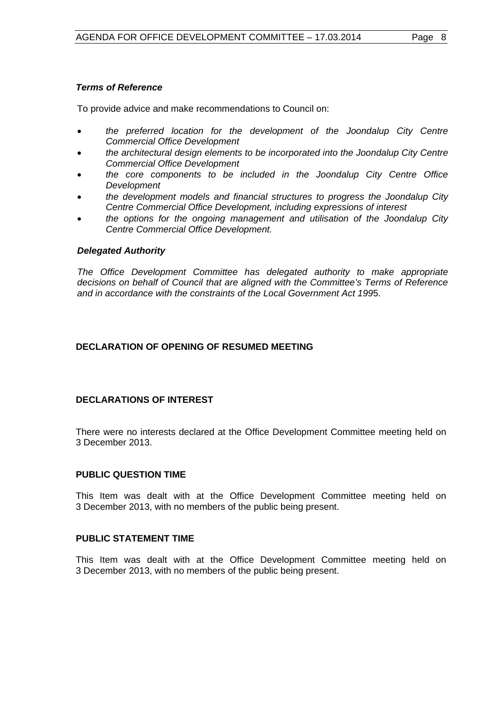# *Terms of Reference*

To provide advice and make recommendations to Council on:

- *the preferred location for the development of the Joondalup City Centre Commercial Office Development*
- *the architectural design elements to be incorporated into the Joondalup City Centre Commercial Office Development*
- *the core components to be included in the Joondalup City Centre Office Development*
- *the development models and financial structures to progress the Joondalup City Centre Commercial Office Development, including expressions of interest*
- *the options for the ongoing management and utilisation of the Joondalup City Centre Commercial Office Development.*

#### *Delegated Authority*

*The Office Development Committee has delegated authority to make appropriate decisions on behalf of Council that are aligned with the Committee's Terms of Reference and in accordance with the constraints of the Local Government Act 199*5.

# <span id="page-7-0"></span>**DECLARATION OF OPENING OF RESUMED MEETING**

# <span id="page-7-1"></span>**DECLARATIONS OF INTEREST**

There were no interests declared at the Office Development Committee meeting held on 3 December 2013.

#### <span id="page-7-2"></span>**PUBLIC QUESTION TIME**

This Item was dealt with at the Office Development Committee meeting held on 3 December 2013, with no members of the public being present.

#### <span id="page-7-3"></span>**PUBLIC STATEMENT TIME**

This Item was dealt with at the Office Development Committee meeting held on 3 December 2013, with no members of the public being present.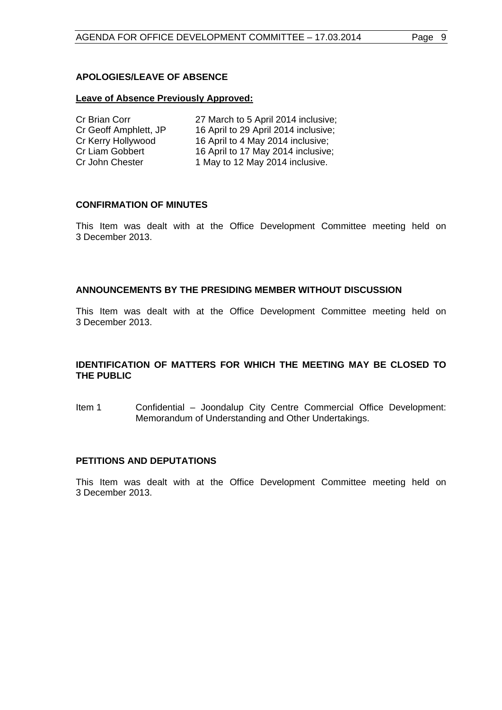# <span id="page-8-0"></span>**APOLOGIES/LEAVE OF ABSENCE**

#### **Leave of Absence Previously Approved:**

| Cr Brian Corr         | 27 March to 5 April 2014 inclusive;  |
|-----------------------|--------------------------------------|
| Cr Geoff Amphlett, JP | 16 April to 29 April 2014 inclusive; |
| Cr Kerry Hollywood    | 16 April to 4 May 2014 inclusive;    |
| Cr Liam Gobbert       | 16 April to 17 May 2014 inclusive;   |
| Cr John Chester       | 1 May to 12 May 2014 inclusive.      |

#### <span id="page-8-1"></span>**CONFIRMATION OF MINUTES**

This Item was dealt with at the Office Development Committee meeting held on 3 December 2013.

#### <span id="page-8-2"></span>**ANNOUNCEMENTS BY THE PRESIDING MEMBER WITHOUT DISCUSSION**

This Item was dealt with at the Office Development Committee meeting held on 3 December 2013.

# <span id="page-8-3"></span>**IDENTIFICATION OF MATTERS FOR WHICH THE MEETING MAY BE CLOSED TO THE PUBLIC**

Item 1 Confidential – Joondalup City Centre Commercial Office Development: Memorandum of Understanding and Other Undertakings.

#### <span id="page-8-4"></span>**PETITIONS AND DEPUTATIONS**

This Item was dealt with at the Office Development Committee meeting held on 3 December 2013.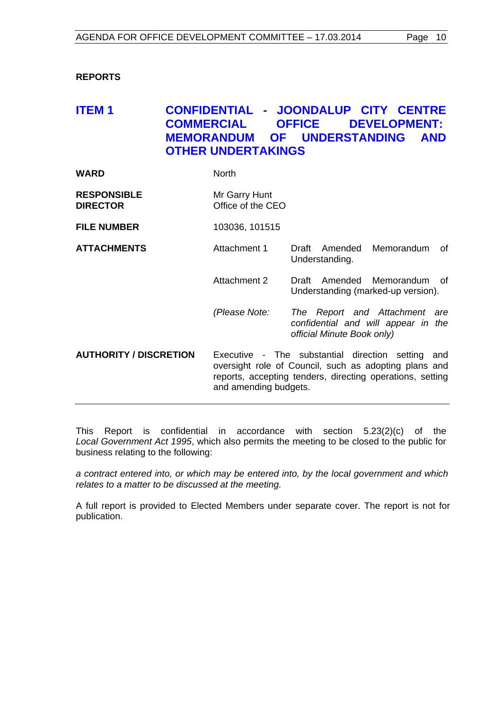# <span id="page-9-0"></span>**REPORTS**

# <span id="page-9-1"></span>**ITEM 1 CONFIDENTIAL - JOONDALUP CITY CENTRE COMMERCIAL OFFICE DEVELOPMENT: MEMORANDUM OF UNDERSTANDING AND OTHER UNDERTAKINGS**

| WARD | North |
|------|-------|
|      |       |

| <b>RESPONSIBLE</b> | Mr Garry Hunt     |
|--------------------|-------------------|
| <b>DIRECTOR</b>    | Office of the CEO |

**FILE NUMBER** 103036, 101515

- **ATTACHMENTS** Attachment 1 Draft Amended Memorandum of Understanding.
	- Attachment 2 Draft Amended Memorandum of Understanding (marked-up version).
	- *(Please Note: The Report and Attachment are confidential and will appear in the official Minute Book only)*

**AUTHORITY / DISCRETION** Executive - The substantial direction setting and oversight role of Council, such as adopting plans and reports, accepting tenders, directing operations, setting and amending budgets.

This Report is confidential in accordance with section 5.23(2)(c) of the *Local Government Act 1995*, which also permits the meeting to be closed to the public for business relating to the following:

*a contract entered into, or which may be entered into, by the local government and which relates to a matter to be discussed at the meeting.*

A full report is provided to Elected Members under separate cover. The report is not for publication.